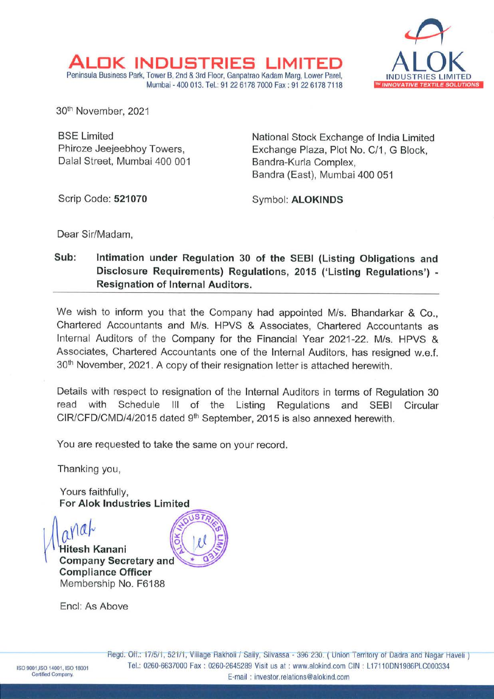

30th November, 2021

BSE Limited Phiroze Jeejeebhoy Towers, Dalal Street, Mumbai 400 001

AL <sup>K</sup>**INDUSTRIES LIMITED** 

Peninsula Business Park, Tower B, 2nd & 3rd Floor, Ganpatrao Kadam Marg, Lower Parel,

National Stock Exchange of India Limited Exchange Plaza, Plot No. C/1, G Block, Bandra-Kurla Complex, Bandra (East), Mumbai 400 051

Scrip Code: 521070 **Symbol: ALOKINDS** 

Dear Sir/Madam,

## **Sub: Intimation under Regulation 30 of the SEBI (Listing Obligations and Disclosure Requirements) Regulations, 2015 ('Listing Regulations')** - **Resignation of Internal Auditors.**

Mumbai - 400 013. Tel.: 91 22 6178 7000 Fax : 91 22 6178 7118

We wish to inform you that the Company had appointed M/s. Bhandarkar & Co., Chartered Accountants and M/s. HPVS & Associates, Chartered Accountants as Internal Auditors of the Company for the Financial Year 2021-22. M/s. HPVS & Associates, Chartered Accountants one of the Internal Auditors, has resigned w.e.f. 30th November, 2021. A copy of their resignation letter is attached herewith.

Details with respect to resignation of the Internal Auditors in terms of Regulation 30 read with Schedule Ill of the Listing Regulations and SEBI Circular CIR/CFD/CMD/4/2015 dated 9<sup>th</sup> September, 2015 is also annexed herewith.

You are requested to take the same on your record.

Thanking you,

Yours faithfully, **For Alok Industries Limited** 



Encl: As Above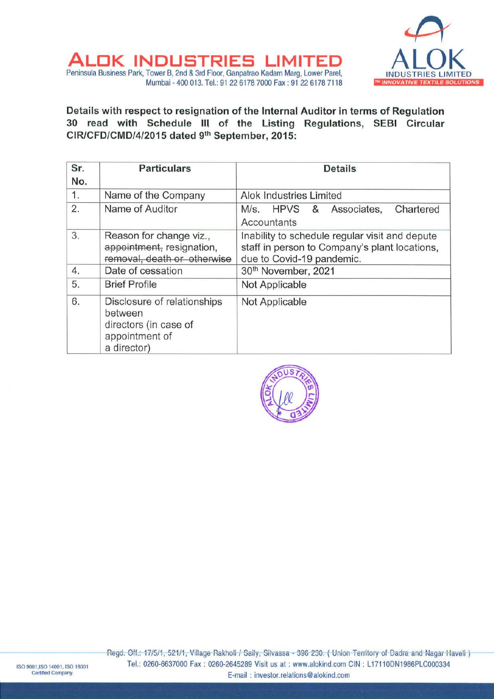

AL <sup>K</sup>**INDUSTRIES LIMITED**  Peninsula Business Park, Tower B, 2nd & 3rd Floor, Ganpatrao Kadam Marg, Lower Pare!, Mumbai - 400 013. Tel.: 91 22 6178 7000 Fax : 91 22 6178 7118

**Details with respect to resignation of the Internal Auditor in terms of Regulation 30 read with Schedule Ill of the Listing Regulations, SEBI Circular CIR/CFD/CMD/4/2015 dated 9th September, 2015:** 

| Sr.<br>No. | <b>Particulars</b>                                                                               | <b>Details</b>                                                                                                               |
|------------|--------------------------------------------------------------------------------------------------|------------------------------------------------------------------------------------------------------------------------------|
| 1.         | Name of the Company                                                                              | Alok Industries Limited                                                                                                      |
| 2.         | Name of Auditor                                                                                  | M/s. HPVS & Associates,<br>Chartered<br>Accountants                                                                          |
| 3.         | Reason for change viz.,<br>appointment, resignation,<br>removal, death or otherwise              | Inability to schedule regular visit and depute<br>staff in person to Company's plant locations,<br>due to Covid-19 pandemic. |
| 4.         | Date of cessation                                                                                | 30th November, 2021                                                                                                          |
| 5.         | <b>Brief Profile</b>                                                                             | Not Applicable                                                                                                               |
| 6.         | Disclosure of relationships<br>between<br>directors (in case of<br>appointment of<br>a director) | Not Applicable                                                                                                               |